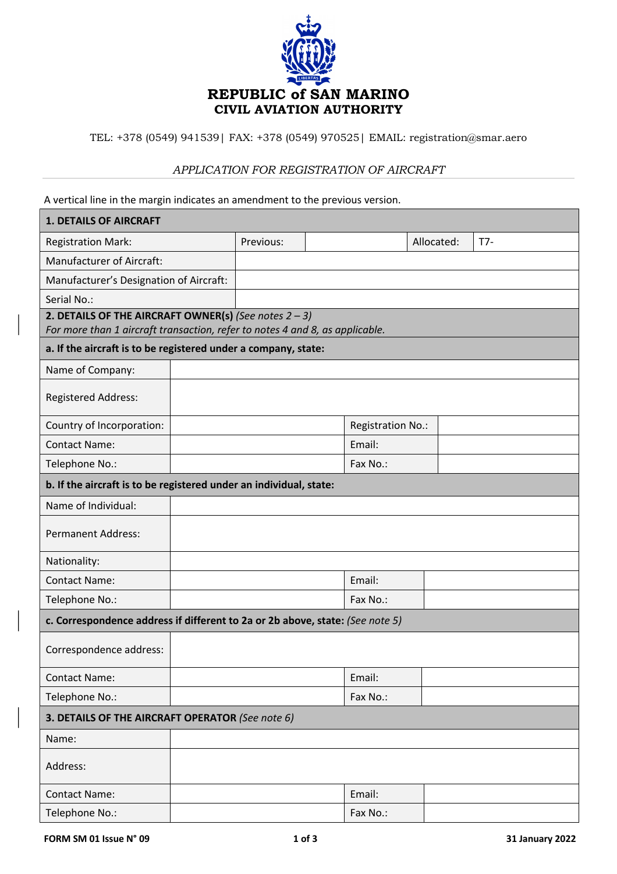

TEL: +378 (0549) 941539| FAX: +378 (0549) 970525| EMAIL: registration@smar.aero

## *APPLICATION FOR REGISTRATION OF AIRCRAFT*

A vertical line in the margin indicates an amendment to the previous version.

| <b>1. DETAILS OF AIRCRAFT</b>                                                                                                                  |  |           |  |                   |            |       |
|------------------------------------------------------------------------------------------------------------------------------------------------|--|-----------|--|-------------------|------------|-------|
| <b>Registration Mark:</b>                                                                                                                      |  | Previous: |  |                   | Allocated: | $T7-$ |
| <b>Manufacturer of Aircraft:</b>                                                                                                               |  |           |  |                   |            |       |
| Manufacturer's Designation of Aircraft:                                                                                                        |  |           |  |                   |            |       |
| Serial No.:                                                                                                                                    |  |           |  |                   |            |       |
| 2. DETAILS OF THE AIRCRAFT OWNER(s) (See notes $2 - 3$ )                                                                                       |  |           |  |                   |            |       |
| For more than 1 aircraft transaction, refer to notes 4 and 8, as applicable.<br>a. If the aircraft is to be registered under a company, state: |  |           |  |                   |            |       |
|                                                                                                                                                |  |           |  |                   |            |       |
| Name of Company:                                                                                                                               |  |           |  |                   |            |       |
| Registered Address:                                                                                                                            |  |           |  |                   |            |       |
| Country of Incorporation:                                                                                                                      |  |           |  | Registration No.: |            |       |
| <b>Contact Name:</b>                                                                                                                           |  |           |  | Email:            |            |       |
| Telephone No.:                                                                                                                                 |  |           |  | Fax No.:          |            |       |
| b. If the aircraft is to be registered under an individual, state:                                                                             |  |           |  |                   |            |       |
| Name of Individual:                                                                                                                            |  |           |  |                   |            |       |
| <b>Permanent Address:</b>                                                                                                                      |  |           |  |                   |            |       |
| Nationality:                                                                                                                                   |  |           |  |                   |            |       |
| <b>Contact Name:</b>                                                                                                                           |  |           |  | Email:            |            |       |
| Telephone No.:                                                                                                                                 |  |           |  | Fax No.:          |            |       |
| c. Correspondence address if different to 2a or 2b above, state: (See note 5)                                                                  |  |           |  |                   |            |       |
| Correspondence address:                                                                                                                        |  |           |  |                   |            |       |
| <b>Contact Name:</b>                                                                                                                           |  |           |  | Email:            |            |       |
| Telephone No.:                                                                                                                                 |  |           |  | Fax No.:          |            |       |
| 3. DETAILS OF THE AIRCRAFT OPERATOR (See note 6)                                                                                               |  |           |  |                   |            |       |
| Name:                                                                                                                                          |  |           |  |                   |            |       |
| Address:                                                                                                                                       |  |           |  |                   |            |       |
| <b>Contact Name:</b>                                                                                                                           |  |           |  | Email:            |            |       |
| Telephone No.:                                                                                                                                 |  |           |  | Fax No.:          |            |       |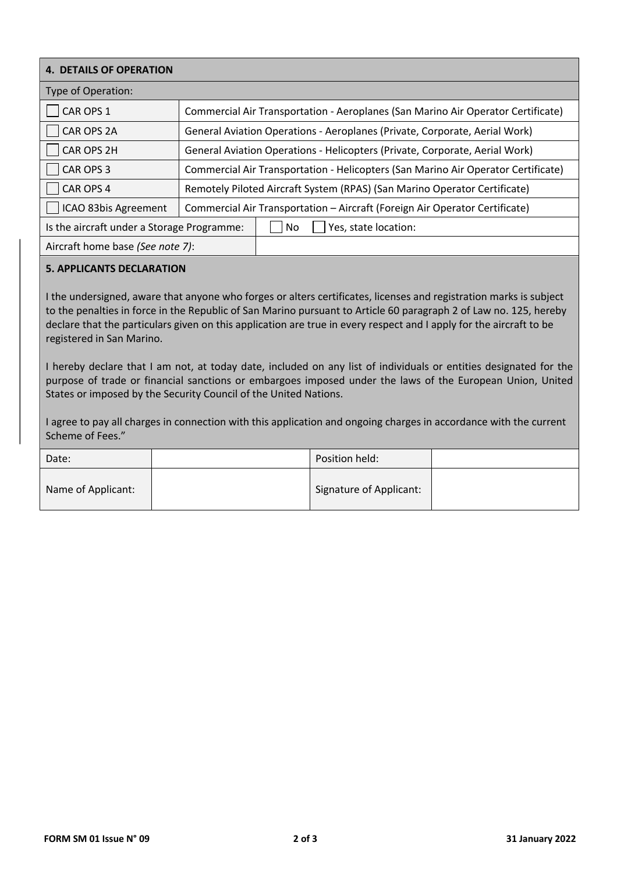| <b>4. DETAILS OF OPERATION</b>             |                                                                                   |  |  |  |  |
|--------------------------------------------|-----------------------------------------------------------------------------------|--|--|--|--|
| <b>Type of Operation:</b>                  |                                                                                   |  |  |  |  |
| CAR OPS 1                                  | Commercial Air Transportation - Aeroplanes (San Marino Air Operator Certificate)  |  |  |  |  |
| CAR OPS 2A                                 | General Aviation Operations - Aeroplanes (Private, Corporate, Aerial Work)        |  |  |  |  |
| CAR OPS 2H                                 | General Aviation Operations - Helicopters (Private, Corporate, Aerial Work)       |  |  |  |  |
| CAR OPS 3                                  | Commercial Air Transportation - Helicopters (San Marino Air Operator Certificate) |  |  |  |  |
| CAR OPS 4                                  | Remotely Piloted Aircraft System (RPAS) (San Marino Operator Certificate)         |  |  |  |  |
| ICAO 83bis Agreement                       | Commercial Air Transportation - Aircraft (Foreign Air Operator Certificate)       |  |  |  |  |
| Is the aircraft under a Storage Programme: | No<br>Yes, state location:                                                        |  |  |  |  |
| Aircraft home base (See note 7):           |                                                                                   |  |  |  |  |

### **5. APPLICANTS DECLARATION**

I the undersigned, aware that anyone who forges or alters certificates, licenses and registration marks is subject to the penalties in force in the Republic of San Marino pursuant to Article 60 paragraph 2 of Law no. 125, hereby declare that the particulars given on this application are true in every respect and I apply for the aircraft to be registered in San Marino.

I hereby declare that I am not, at today date, included on any list of individuals or entities designated for the purpose of trade or financial sanctions or embargoes imposed under the laws of the European Union, United States or imposed by the Security Council of the United Nations.

I agree to pay all charges in connection with this application and ongoing charges in accordance with the current Scheme of Fees."

| Date:              | Position held:          |  |
|--------------------|-------------------------|--|
| Name of Applicant: | Signature of Applicant: |  |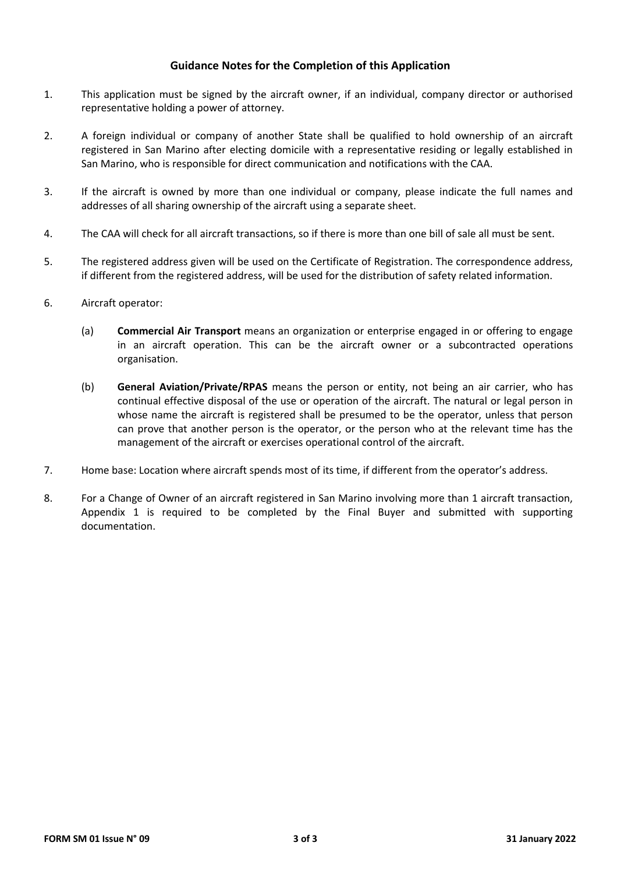## **Guidance Notes for the Completion of this Application**

- 1. This application must be signed by the aircraft owner, if an individual, company director or authorised representative holding a power of attorney.
- 2. A foreign individual or company of another State shall be qualified to hold ownership of an aircraft registered in San Marino after electing domicile with a representative residing or legally established in San Marino, who is responsible for direct communication and notifications with the CAA.
- 3. If the aircraft is owned by more than one individual or company, please indicate the full names and addresses of all sharing ownership of the aircraft using a separate sheet.
- 4. The CAA will check for all aircraft transactions, so if there is more than one bill of sale all must be sent.
- 5. The registered address given will be used on the Certificate of Registration. The correspondence address, if different from the registered address, will be used for the distribution of safety related information.
- 6. Aircraft operator:
	- (a) **Commercial Air Transport** means an organization or enterprise engaged in or offering to engage in an aircraft operation. This can be the aircraft owner or a subcontracted operations organisation.
	- (b) **General Aviation/Private/RPAS** means the person or entity, not being an air carrier, who has continual effective disposal of the use or operation of the aircraft. The natural or legal person in whose name the aircraft is registered shall be presumed to be the operator, unless that person can prove that another person is the operator, or the person who at the relevant time has the management of the aircraft or exercises operational control of the aircraft.
- 7. Home base: Location where aircraft spends most of its time, if different from the operator's address.
- 8. For a Change of Owner of an aircraft registered in San Marino involving more than 1 aircraft transaction, Appendix 1 is required to be completed by the Final Buyer and submitted with supporting documentation.